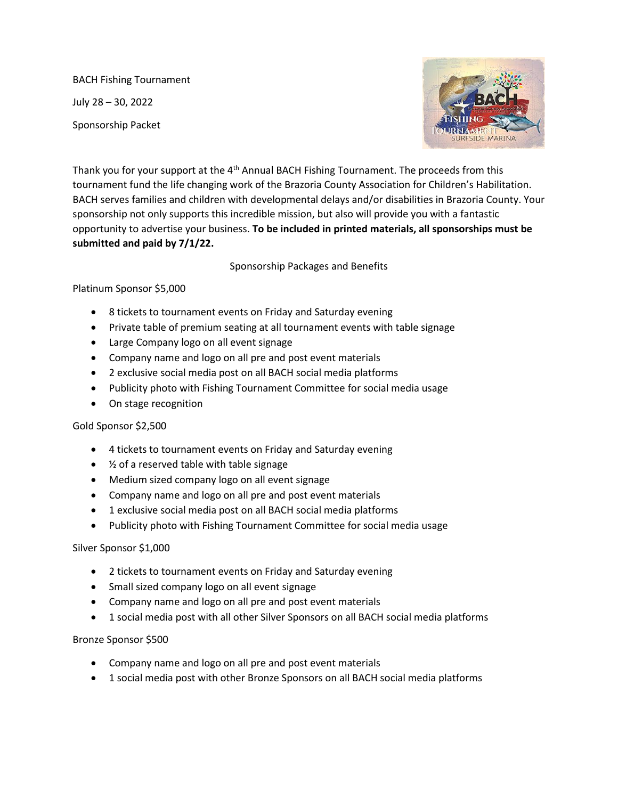BACH Fishing Tournament July 28 – 30, 2022 Sponsorship Packet



Thank you for your support at the 4<sup>th</sup> Annual BACH Fishing Tournament. The proceeds from this tournament fund the life changing work of the Brazoria County Association for Children's Habilitation. BACH serves families and children with developmental delays and/or disabilities in Brazoria County. Your sponsorship not only supports this incredible mission, but also will provide you with a fantastic opportunity to advertise your business. **To be included in printed materials, all sponsorships must be submitted and paid by 7/1/22.**

Sponsorship Packages and Benefits

## Platinum Sponsor \$5,000

- 8 tickets to tournament events on Friday and Saturday evening
- Private table of premium seating at all tournament events with table signage
- Large Company logo on all event signage
- Company name and logo on all pre and post event materials
- 2 exclusive social media post on all BACH social media platforms
- Publicity photo with Fishing Tournament Committee for social media usage
- On stage recognition

## Gold Sponsor \$2,500

- 4 tickets to tournament events on Friday and Saturday evening
- $\frac{1}{2}$  of a reserved table with table signage
- Medium sized company logo on all event signage
- Company name and logo on all pre and post event materials
- 1 exclusive social media post on all BACH social media platforms
- Publicity photo with Fishing Tournament Committee for social media usage

## Silver Sponsor \$1,000

- 2 tickets to tournament events on Friday and Saturday evening
- Small sized company logo on all event signage
- Company name and logo on all pre and post event materials
- 1 social media post with all other Silver Sponsors on all BACH social media platforms

## Bronze Sponsor \$500

- Company name and logo on all pre and post event materials
- 1 social media post with other Bronze Sponsors on all BACH social media platforms